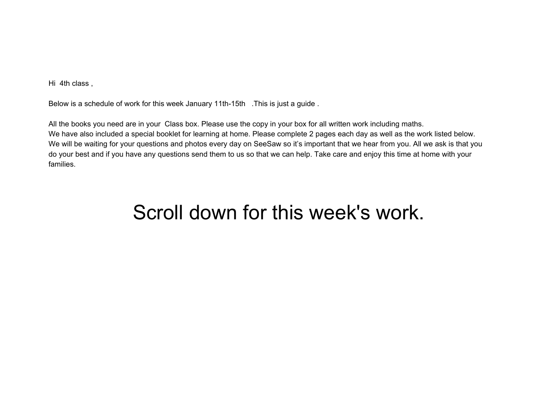Hi 4th class ,

Below is a schedule of work for this week January 11th-15th .This is just a guide .

All the books you need are in your Class box. Please use the copy in your box for all written work including maths. We have also included a special booklet for learning at home. Please complete 2 pages each day as well as the work listed below. We will be waiting for your questions and photos every day on SeeSaw so it's important that we hear from you. All we ask is that you do your best and if you have any questions send them to us so that we can help. Take care and enjoy this time at home with your families.

## Scroll down for this week's work.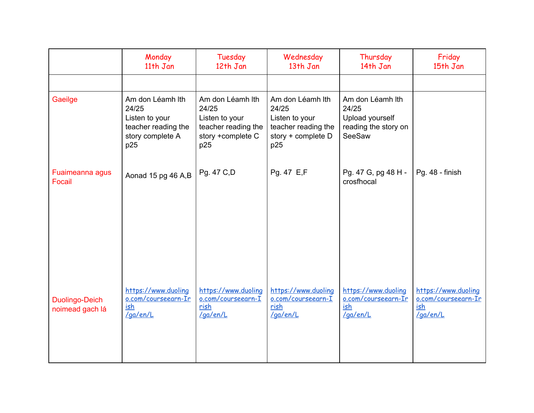|                                   | Monday<br>11th Jan                                                                            | Tuesday<br>12th Jan                                                                            | Wednesday<br>13th Jan                                                                           | Thursday<br>14th Jan                                                           | Friday<br>15th Jan                                            |
|-----------------------------------|-----------------------------------------------------------------------------------------------|------------------------------------------------------------------------------------------------|-------------------------------------------------------------------------------------------------|--------------------------------------------------------------------------------|---------------------------------------------------------------|
|                                   |                                                                                               |                                                                                                |                                                                                                 |                                                                                |                                                               |
| Gaeilge                           | Am don Léamh lth<br>24/25<br>Listen to your<br>teacher reading the<br>story complete A<br>p25 | Am don Léamh lth<br>24/25<br>Listen to your<br>teacher reading the<br>story +complete C<br>p25 | Am don Léamh lth<br>24/25<br>Listen to your<br>teacher reading the<br>story + complete D<br>p25 | Am don Léamh lth<br>24/25<br>Upload yourself<br>reading the story on<br>SeeSaw |                                                               |
| Fuaimeanna agus<br>Focail         | Aonad 15 pg 46 A,B                                                                            | Pg. 47 C,D                                                                                     | Pg. 47 E,F                                                                                      | Pg. 47 G, pg 48 H -<br>crosfhocal                                              | Pg. 48 - finish                                               |
| Duolingo-Deich<br>noimead gach lá | https://www.duoling<br>o.com/courseearn-Ir<br>ish<br>/ga/en/L                                 | https://www.duoling<br>o.com/courseearn-I<br>rish<br>/ga/en/L                                  | https://www.duoling<br>o.com/courseearn-I<br>rish<br>/ga/en/L                                   | https://www.duoling<br>o.com/courseearn-Ir<br>ish<br>/ga/en/L                  | https://www.duoling<br>o.com/courseearn-Ir<br>ish<br>/ga/en/L |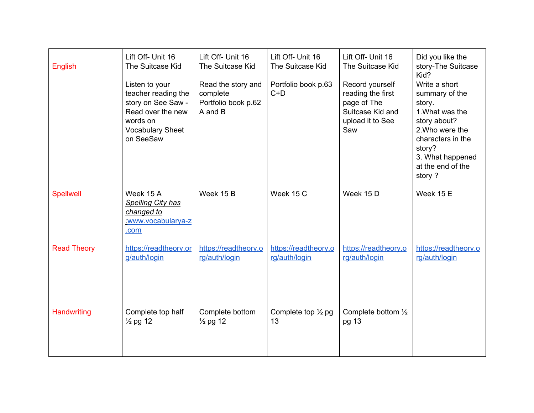| English            | Lift Off- Unit 16<br>The Suitcase Kid                                                                                                | Lift Off- Unit 16<br>The Suitcase Kid                            | Lift Off- Unit 16<br>The Suitcase Kid | Lift Off- Unit 16<br>The Suitcase Kid                                                              | Did you like the<br>story-The Suitcase<br>Kid?                                                                                                                                    |
|--------------------|--------------------------------------------------------------------------------------------------------------------------------------|------------------------------------------------------------------|---------------------------------------|----------------------------------------------------------------------------------------------------|-----------------------------------------------------------------------------------------------------------------------------------------------------------------------------------|
|                    | Listen to your<br>teacher reading the<br>story on See Saw -<br>Read over the new<br>words on<br><b>Vocabulary Sheet</b><br>on SeeSaw | Read the story and<br>complete<br>Portfolio book p.62<br>A and B | Portfolio book p.63<br>$C+D$          | Record yourself<br>reading the first<br>page of The<br>Suitcase Kid and<br>upload it to See<br>Saw | Write a short<br>summary of the<br>story.<br>1. What was the<br>story about?<br>2. Who were the<br>characters in the<br>story?<br>3. What happened<br>at the end of the<br>story? |
| <b>Spellwell</b>   | Week 15 A<br><b>Spelling City has</b><br>changed to<br>www.vocabularya-z<br>.com                                                     | Week 15 B                                                        | Week 15 C                             | Week 15 D                                                                                          | Week 15 E                                                                                                                                                                         |
| <b>Read Theory</b> | https://readtheory.or<br>g/auth/login                                                                                                | https://readtheory.o<br>rg/auth/login                            | https://readtheory.o<br>rg/auth/login | https://readtheory.o<br>rg/auth/login                                                              | https://readtheory.o<br>rg/auth/login                                                                                                                                             |
| Handwriting        | Complete top half<br>$\frac{1}{2}$ pg 12                                                                                             | Complete bottom<br>$\frac{1}{2}$ pg 12                           | Complete top $\frac{1}{2}$ pg<br>13   | Complete bottom 1/2<br>pg 13                                                                       |                                                                                                                                                                                   |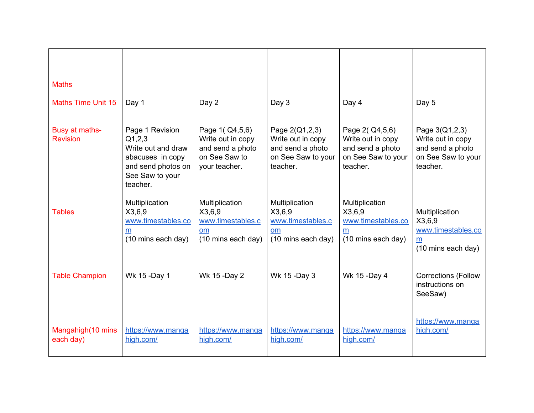| <b>Maths</b>                      |                                                                                                                          |                                                                                               |                                                                                           |                                                                                               |                                                                                           |
|-----------------------------------|--------------------------------------------------------------------------------------------------------------------------|-----------------------------------------------------------------------------------------------|-------------------------------------------------------------------------------------------|-----------------------------------------------------------------------------------------------|-------------------------------------------------------------------------------------------|
| <b>Maths Time Unit 15</b>         | Day 1                                                                                                                    | Day 2                                                                                         | Day 3                                                                                     | Day 4                                                                                         | Day 5                                                                                     |
| Busy at maths-<br><b>Revision</b> | Page 1 Revision<br>Q1,2,3<br>Write out and draw<br>abacuses in copy<br>and send photos on<br>See Saw to your<br>teacher. | Page 1( $Q4,5,6$ )<br>Write out in copy<br>and send a photo<br>on See Saw to<br>your teacher. | Page 2(Q1,2,3)<br>Write out in copy<br>and send a photo<br>on See Saw to your<br>teacher. | Page 2( $Q4,5,6$ )<br>Write out in copy<br>and send a photo<br>on See Saw to your<br>teacher. | Page 3(Q1,2,3)<br>Write out in copy<br>and send a photo<br>on See Saw to your<br>teacher. |
| <b>Tables</b>                     | Multiplication<br>X3,6,9<br>www.timestables.co<br>m<br>(10 mins each day)                                                | Multiplication<br>X3,6,9<br>www.timestables.c<br>om<br>(10 mins each day)                     | Multiplication<br>X3,6,9<br>www.timestables.c<br>om<br>(10 mins each day)                 | Multiplication<br>X3,6,9<br>www.timestables.co<br>m<br>(10 mins each day)                     | Multiplication<br>X3,6,9<br>www.timestables.co<br>m<br>(10 mins each day)                 |
| <b>Table Champion</b>             | Wk 15 -Day 1                                                                                                             | Wk 15 -Day 2                                                                                  | Wk 15 -Day 3                                                                              | Wk 15 -Day 4                                                                                  | <b>Corrections (Follow</b><br>instructions on<br>SeeSaw)                                  |
| Mangahigh(10 mins<br>each day)    | https://www.manga<br>high.com/                                                                                           | https://www.manga<br>high.com/                                                                | https://www.manga<br>high.com/                                                            | https://www.manga<br>high.com/                                                                | https://www.manga<br>high.com/                                                            |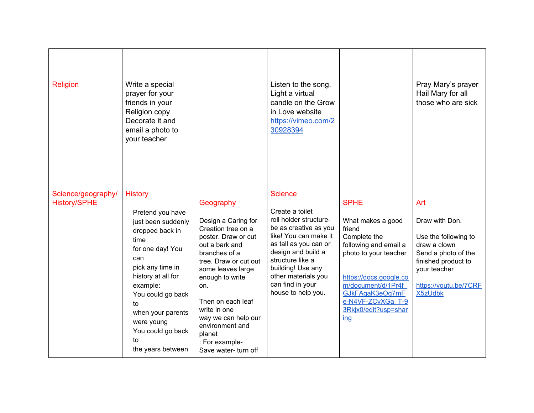| Religion                                  | Write a special<br>prayer for your<br>friends in your<br>Religion copy<br>Decorate it and<br>email a photo to<br>your teacher                                                                                                                                                      |                                                                                                                                                                                                                                                                                                                             | Listen to the song.<br>Light a virtual<br>candle on the Grow<br>in Love website<br>https://vimeo.com/2<br>30928394                                                                                                                                                     |                                                                                                                                                                                                                                     | Pray Mary's prayer<br>Hail Mary for all<br>those who are sick                                                                                                          |
|-------------------------------------------|------------------------------------------------------------------------------------------------------------------------------------------------------------------------------------------------------------------------------------------------------------------------------------|-----------------------------------------------------------------------------------------------------------------------------------------------------------------------------------------------------------------------------------------------------------------------------------------------------------------------------|------------------------------------------------------------------------------------------------------------------------------------------------------------------------------------------------------------------------------------------------------------------------|-------------------------------------------------------------------------------------------------------------------------------------------------------------------------------------------------------------------------------------|------------------------------------------------------------------------------------------------------------------------------------------------------------------------|
| Science/geography/<br><b>History/SPHE</b> | <b>History</b><br>Pretend you have<br>just been suddenly<br>dropped back in<br>time<br>for one day! You<br>can<br>pick any time in<br>history at all for<br>example:<br>You could go back<br>to<br>when your parents<br>were young<br>You could go back<br>to<br>the years between | Geography<br>Design a Caring for<br>Creation tree on a<br>poster. Draw or cut<br>out a bark and<br>branches of a<br>tree. Draw or cut out<br>some leaves large<br>enough to write<br>on.<br>Then on each leaf<br>write in one<br>way we can help our<br>environment and<br>planet<br>: For example-<br>Save water- turn off | <b>Science</b><br>Create a toilet<br>roll holder structure-<br>be as creative as you<br>like! You can make it<br>as tall as you can or<br>design and build a<br>structure like a<br>building! Use any<br>other materials you<br>can find in your<br>house to help you. | <b>SPHE</b><br>What makes a good<br>friend<br>Complete the<br>following and email a<br>photo to your teacher<br>https://docs.google.co<br>m/document/d/1Pr4f<br>GJkFAgaK3eOg7mF<br>e-N4VF-ZCvXGa T-9<br>3Rkjx0/edit?usp=shar<br>ing | Art<br>Draw with Don.<br>Use the following to<br>draw a clown<br>Send a photo of the<br>finished product to<br>your teacher<br>https://youtu.be/7CRF<br><b>X5zUdbk</b> |